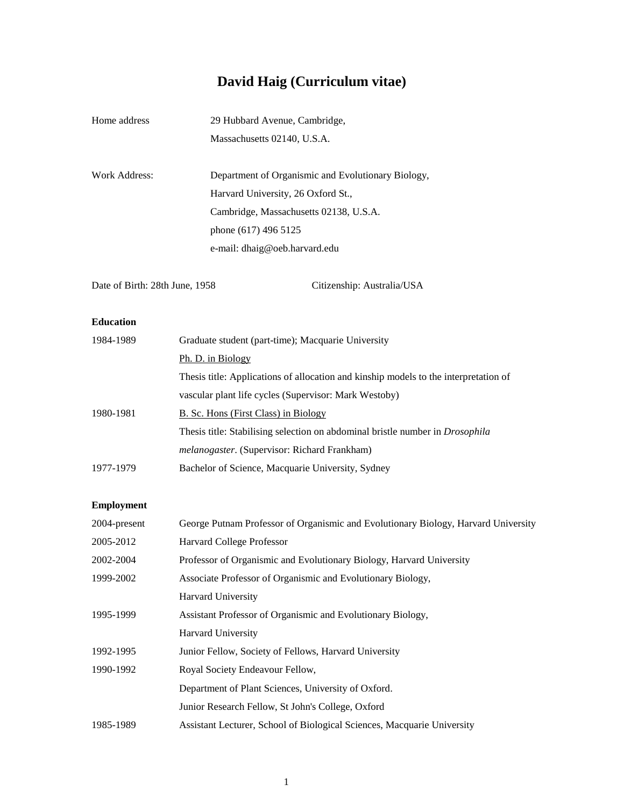# **David Haig (Curriculum vitae)**

| Home address  | 29 Hubbard Avenue, Cambridge,                      |
|---------------|----------------------------------------------------|
|               | Massachusetts 02140, U.S.A.                        |
|               |                                                    |
| Work Address: | Department of Organismic and Evolutionary Biology, |
|               | Harvard University, 26 Oxford St.,                 |
|               | Cambridge, Massachusetts 02138, U.S.A.             |
|               | phone (617) 496 5125                               |
|               | e-mail: dhaig@oeb.harvard.edu                      |
|               |                                                    |

Date of Birth: 28th June, 1958 Citizenship: Australia/USA

# **Education**

| 1984-1989 | Graduate student (part-time); Macquarie University                                   |
|-----------|--------------------------------------------------------------------------------------|
|           | Ph. D. in Biology                                                                    |
|           | Thesis title: Applications of allocation and kinship models to the interpretation of |
|           | vascular plant life cycles (Supervisor: Mark Westoby)                                |
| 1980-1981 | B. Sc. Hons (First Class) in Biology                                                 |
|           | Thesis title: Stabilising selection on abdominal bristle number in <i>Drosophila</i> |
|           | <i>melanogaster.</i> (Supervisor: Richard Frankham)                                  |
| 1977-1979 | Bachelor of Science, Macquarie University, Sydney                                    |
|           |                                                                                      |

# **Employment**

| 2004-present | George Putnam Professor of Organismic and Evolutionary Biology, Harvard University |
|--------------|------------------------------------------------------------------------------------|
| 2005-2012    | Harvard College Professor                                                          |
| 2002-2004    | Professor of Organismic and Evolutionary Biology, Harvard University               |
| 1999-2002    | Associate Professor of Organismic and Evolutionary Biology,                        |
|              | <b>Harvard University</b>                                                          |
| 1995-1999    | Assistant Professor of Organismic and Evolutionary Biology,                        |
|              | <b>Harvard University</b>                                                          |
| 1992-1995    | Junior Fellow, Society of Fellows, Harvard University                              |
| 1990-1992    | Royal Society Endeavour Fellow,                                                    |
|              | Department of Plant Sciences, University of Oxford.                                |
|              | Junior Research Fellow, St John's College, Oxford                                  |
| 1985-1989    | Assistant Lecturer, School of Biological Sciences, Macquarie University            |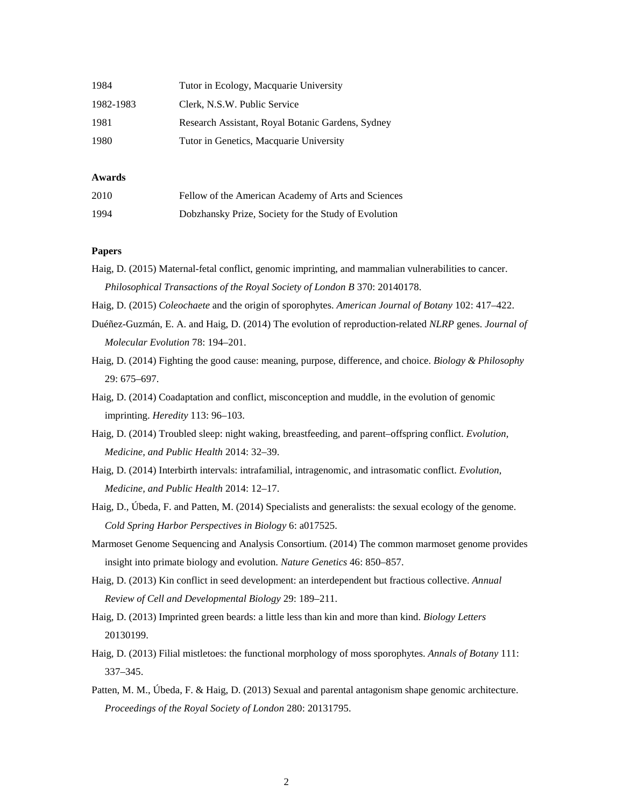| 1984      | Tutor in Ecology, Macquarie University            |
|-----------|---------------------------------------------------|
| 1982-1983 | Clerk, N.S.W. Public Service                      |
| 1981      | Research Assistant, Royal Botanic Gardens, Sydney |
| 1980      | Tutor in Genetics, Macquarie University           |

### **Awards**

| 2010 | Fellow of the American Academy of Arts and Sciences  |
|------|------------------------------------------------------|
| 1994 | Dobzhansky Prize, Society for the Study of Evolution |

## **Papers**

Haig, D. (2015) Maternal-fetal conflict, genomic imprinting, and mammalian vulnerabilities to cancer. *Philosophical Transactions of the Royal Society of London B* 370: 20140178.

- Haig, D. (2015) *Coleochaete* and the origin of sporophytes. *American Journal of Botany* 102: 417–422.
- Duéñez-Guzmán, E. A. and Haig, D. (2014) The evolution of reproduction-related *NLRP* genes. *Journal of Molecular Evolution* 78: 194–201.
- Haig, D. (2014) Fighting the good cause: meaning, purpose, difference, and choice. *Biology & Philosophy* 29: 675–697.
- Haig, D. (2014) Coadaptation and conflict, misconception and muddle, in the evolution of genomic imprinting. *Heredity* 113: 96–103.
- Haig, D. (2014) Troubled sleep: night waking, breastfeeding, and parent–offspring conflict. *Evolution, Medicine, and Public Health* 2014: 32–39.
- Haig, D. (2014) Interbirth intervals: intrafamilial, intragenomic, and intrasomatic conflict. *Evolution, Medicine, and Public Health* 2014: 12–17.
- Haig, D., Úbeda, F. and Patten, M. (2014) Specialists and generalists: the sexual ecology of the genome. *Cold Spring Harbor Perspectives in Biology* 6: a017525.
- Marmoset Genome Sequencing and Analysis Consortium. (2014) The common marmoset genome provides insight into primate biology and evolution. *Nature Genetics* 46: 850–857.
- Haig, D. (2013) Kin conflict in seed development: an interdependent but fractious collective. *Annual Review of Cell and Developmental Biology* 29: 189–211.
- Haig, D. (2013) Imprinted green beards: a little less than kin and more than kind. *Biology Letters* 20130199.
- Haig, D. (2013) Filial mistletoes: the functional morphology of moss sporophytes. *Annals of Botany* 111: 337–345.
- Patten, M. M., Úbeda, F. & Haig, D. (2013) Sexual and parental antagonism shape genomic architecture. *Proceedings of the Royal Society of London* 280: 20131795.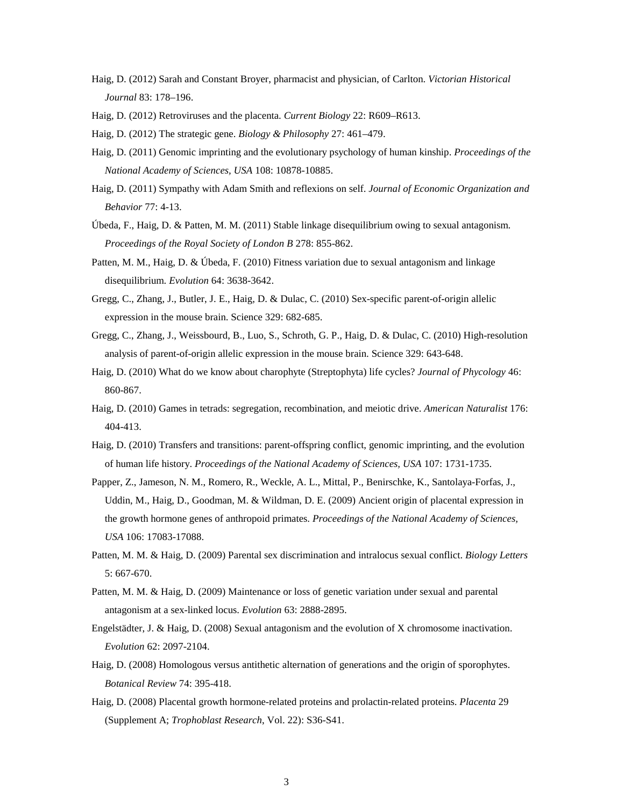- Haig, D. (2012) Sarah and Constant Broyer, pharmacist and physician, of Carlton. *Victorian Historical Journal* 83: 178–196.
- Haig, D. (2012) Retroviruses and the placenta. *Current Biology* 22: R609–R613.

Haig, D. (2012) The strategic gene. *Biology & Philosophy* 27: 461–479.

- Haig, D. (2011) Genomic imprinting and the evolutionary psychology of human kinship. *Proceedings of the National Academy of Sciences, USA* 108: 10878-10885.
- Haig, D. (2011) Sympathy with Adam Smith and reflexions on self. *Journal of Economic Organization and Behavior* 77: 4-13.
- Úbeda, F., Haig, D. & Patten, M. M. (2011) Stable linkage disequilibrium owing to sexual antagonism. *Proceedings of the Royal Society of London B* 278: 855-862.
- Patten, M. M., Haig, D. & Úbeda, F. (2010) Fitness variation due to sexual antagonism and linkage disequilibrium. *Evolution* 64: 3638-3642.
- Gregg, C., Zhang, J., Butler, J. E., Haig, D. & Dulac, C. (2010) Sex-specific parent-of-origin allelic expression in the mouse brain. Science 329: 682-685.
- Gregg, C., Zhang, J., Weissbourd, B., Luo, S., Schroth, G. P., Haig, D. & Dulac, C. (2010) High-resolution analysis of parent-of-origin allelic expression in the mouse brain. Science 329: 643-648.
- Haig, D. (2010) What do we know about charophyte (Streptophyta) life cycles? *Journal of Phycology* 46: 860-867.
- Haig, D. (2010) Games in tetrads: segregation, recombination, and meiotic drive. *American Naturalist* 176: 404-413.
- Haig, D. (2010) Transfers and transitions: parent-offspring conflict, genomic imprinting, and the evolution of human life history. *Proceedings of the National Academy of Sciences, USA* 107: 1731-1735.
- Papper, Z., Jameson, N. M., Romero, R., Weckle, A. L., Mittal, P., Benirschke, K., Santolaya-Forfas, J., Uddin, M., Haig, D., Goodman, M. & Wildman, D. E. (2009) Ancient origin of placental expression in the growth hormone genes of anthropoid primates. *Proceedings of the National Academy of Sciences, USA* 106: 17083-17088.
- Patten, M. M. & Haig, D. (2009) Parental sex discrimination and intralocus sexual conflict. *Biology Letters* 5: 667-670.
- Patten, M. M. & Haig, D. (2009) Maintenance or loss of genetic variation under sexual and parental antagonism at a sex-linked locus. *Evolution* 63: 2888-2895.
- Engelstädter, J. & Haig, D. (2008) Sexual antagonism and the evolution of X chromosome inactivation. *Evolution* 62: 2097-2104.
- Haig, D. (2008) Homologous versus antithetic alternation of generations and the origin of sporophytes. *Botanical Review* 74: 395-418.
- Haig, D. (2008) Placental growth hormone-related proteins and prolactin-related proteins. *Placenta* 29 (Supplement A; *Trophoblast Research*, Vol. 22): S36-S41.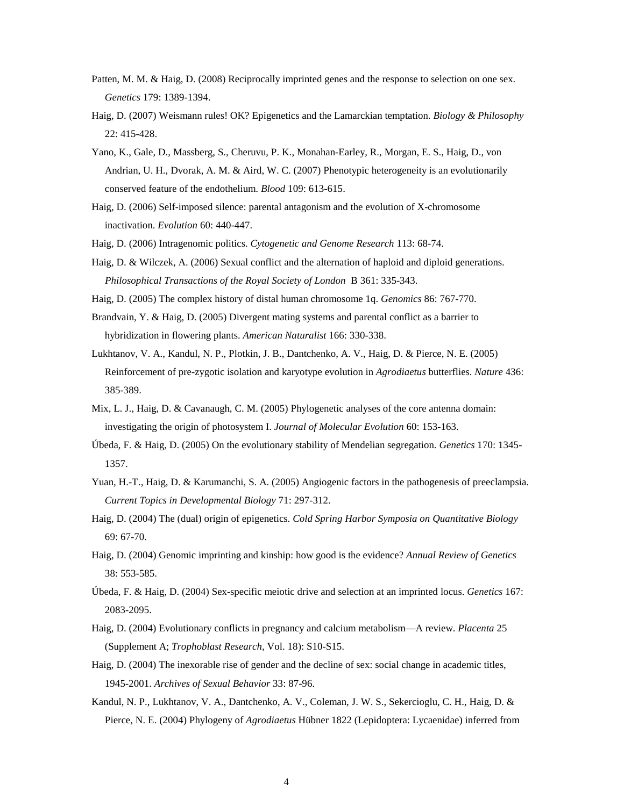- Patten, M. M. & Haig, D. (2008) Reciprocally imprinted genes and the response to selection on one sex. *Genetics* 179: 1389-1394.
- Haig, D. (2007) Weismann rules! OK? Epigenetics and the Lamarckian temptation. *Biology & Philosophy* 22: 415-428.
- Yano, K., Gale, D., Massberg, S., Cheruvu, P. K., Monahan-Earley, R., Morgan, E. S., Haig, D., von Andrian, U. H., Dvorak, A. M. & Aird, W. C. (2007) Phenotypic heterogeneity is an evolutionarily conserved feature of the endothelium. *Blood* 109: 613-615.
- Haig, D. (2006) Self-imposed silence: parental antagonism and the evolution of X-chromosome inactivation. *Evolution* 60: 440-447.
- Haig, D. (2006) Intragenomic politics. *Cytogenetic and Genome Research* 113: 68-74.
- Haig, D. & Wilczek, A. (2006) Sexual conflict and the alternation of haploid and diploid generations. *Philosophical Transactions of the Royal Society of London* B 361: 335-343.
- Haig, D. (2005) The complex history of distal human chromosome 1q. *Genomics* 86: 767-770.
- Brandvain, Y. & Haig, D. (2005) Divergent mating systems and parental conflict as a barrier to hybridization in flowering plants. *American Naturalist* 166: 330-338.
- Lukhtanov, V. A., Kandul, N. P., Plotkin, J. B., Dantchenko, A. V., Haig, D. & Pierce, N. E. (2005) Reinforcement of pre-zygotic isolation and karyotype evolution in *Agrodiaetus* butterflies. *Nature* 436: 385-389.
- Mix, L. J., Haig, D. & Cavanaugh, C. M. (2005) Phylogenetic analyses of the core antenna domain: investigating the origin of photosystem I. *Journal of Molecular Evolution* 60: 153-163.
- Úbeda, F. & Haig, D. (2005) On the evolutionary stability of Mendelian segregation. *Genetics* 170: 1345- 1357.
- Yuan, H.-T., Haig, D. & Karumanchi, S. A. (2005) Angiogenic factors in the pathogenesis of preeclampsia. *Current Topics in Developmental Biology* 71: 297-312.
- Haig, D. (2004) The (dual) origin of epigenetics. *Cold Spring Harbor Symposia on Quantitative Biology* 69: 67-70.
- Haig, D. (2004) Genomic imprinting and kinship: how good is the evidence? *Annual Review of Genetics* 38: 553-585.
- Úbeda, F. & Haig, D. (2004) Sex-specific meiotic drive and selection at an imprinted locus. *Genetics* 167: 2083-2095.
- Haig, D. (2004) Evolutionary conflicts in pregnancy and calcium metabolism—A review. *Placenta* 25 (Supplement A; *Trophoblast Research*, Vol. 18): S10-S15.
- Haig, D. (2004) The inexorable rise of gender and the decline of sex: social change in academic titles, 1945-2001. *Archives of Sexual Behavior* 33: 87-96.
- Kandul, N. P., Lukhtanov, V. A., Dantchenko, A. V., Coleman, J. W. S., Sekercioglu, C. H., Haig, D. & Pierce, N. E. (2004) Phylogeny of *Agrodiaetus* Hübner 1822 (Lepidoptera: Lycaenidae) inferred from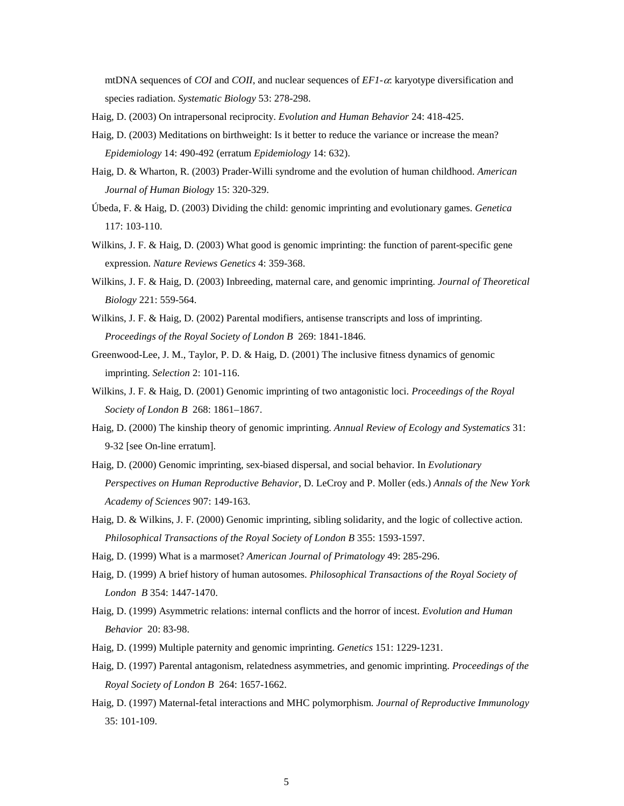mtDNA sequences of *COI* and *COII*, and nuclear sequences of *EF1-*α: karyotype diversification and species radiation. *Systematic Biology* 53: 278-298.

Haig, D. (2003) On intrapersonal reciprocity. *Evolution and Human Behavior* 24: 418-425.

- Haig, D. (2003) Meditations on birthweight: Is it better to reduce the variance or increase the mean? *Epidemiology* 14: 490-492 (erratum *Epidemiology* 14: 632).
- Haig, D. & Wharton, R. (2003) Prader-Willi syndrome and the evolution of human childhood. *American Journal of Human Biology* 15: 320-329.
- Úbeda, F. & Haig, D. (2003) Dividing the child: genomic imprinting and evolutionary games. *Genetica* 117: 103-110.
- Wilkins, J. F. & Haig, D. (2003) What good is genomic imprinting: the function of parent-specific gene expression. *Nature Reviews Genetics* 4: 359-368.
- Wilkins, J. F. & Haig, D. (2003) Inbreeding, maternal care, and genomic imprinting. *Journal of Theoretical Biology* 221: 559-564.
- Wilkins, J. F. & Haig, D. (2002) Parental modifiers, antisense transcripts and loss of imprinting. *Proceedings of the Royal Society of London B* 269: 1841-1846.
- Greenwood-Lee, J. M., Taylor, P. D. & Haig, D. (2001) The inclusive fitness dynamics of genomic imprinting. *Selection* 2: 101-116.
- Wilkins, J. F. & Haig, D. (2001) Genomic imprinting of two antagonistic loci. *Proceedings of the Royal Society of London B* 268: 1861–1867.
- Haig, D. (2000) The kinship theory of genomic imprinting. *Annual Review of Ecology and Systematics* 31: 9-32 [see On-line erratum].
- Haig, D. (2000) Genomic imprinting, sex-biased dispersal, and social behavior. In *Evolutionary Perspectives on Human Reproductive Behavior*, D. LeCroy and P. Moller (eds.) *Annals of the New York Academy of Sciences* 907: 149-163.
- Haig, D. & Wilkins, J. F. (2000) Genomic imprinting, sibling solidarity, and the logic of collective action. *Philosophical Transactions of the Royal Society of London B* 355: 1593-1597.
- Haig, D. (1999) What is a marmoset? *American Journal of Primatology* 49: 285-296.
- Haig, D. (1999) A brief history of human autosomes. *Philosophical Transactions of the Royal Society of London B* 354: 1447-1470.
- Haig, D. (1999) Asymmetric relations: internal conflicts and the horror of incest. *Evolution and Human Behavior* 20: 83-98.
- Haig, D. (1999) Multiple paternity and genomic imprinting. *Genetics* 151: 1229-1231.
- Haig, D. (1997) Parental antagonism, relatedness asymmetries, and genomic imprinting. *Proceedings of the Royal Society of London B* 264: 1657-1662.
- Haig, D. (1997) Maternal-fetal interactions and MHC polymorphism. *Journal of Reproductive Immunology*  35: 101-109.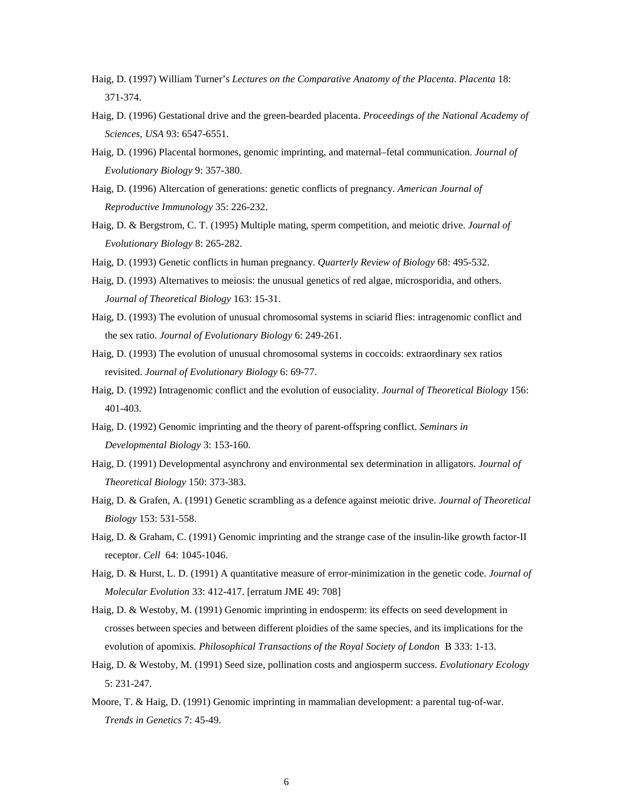- Haig, D. (1997) William Turner's *Lectures on the Comparative Anatomy of the Placenta*. *Placenta* 18: 371-374.
- Haig, D. (1996) Gestational drive and the green-bearded placenta. *Proceedings of the National Academy of Sciences, USA* 93: 6547-6551.
- Haig, D. (1996) Placental hormones, genomic imprinting, and maternal–fetal communication. *Journal of Evolutionary Biology* 9: 357-380.
- Haig, D. (1996) Altercation of generations: genetic conflicts of pregnancy. *American Journal of Reproductive Immunology* 35: 226-232.
- Haig, D. & Bergstrom, C. T. (1995) Multiple mating, sperm competition, and meiotic drive. *Journal of Evolutionary Biology* 8: 265-282.
- Haig, D. (1993) Genetic conflicts in human pregnancy. *Quarterly Review of Biology* 68: 495-532.
- Haig, D. (1993) Alternatives to meiosis: the unusual genetics of red algae, microsporidia, and others. *Journal of Theoretical Biology* 163: 15-31.
- Haig, D. (1993) The evolution of unusual chromosomal systems in sciarid flies: intragenomic conflict and the sex ratio. *Journal of Evolutionary Biology* 6: 249-261.
- Haig, D. (1993) The evolution of unusual chromosomal systems in coccoids: extraordinary sex ratios revisited. *Journal of Evolutionary Biology* 6: 69-77.
- Haig, D. (1992) Intragenomic conflict and the evolution of eusociality. *Journal of Theoretical Biology* 156: 401-403.
- Haig, D. (1992) Genomic imprinting and the theory of parent-offspring conflict. *Seminars in Developmental Biology* 3: 153-160.
- Haig, D. (1991) Developmental asynchrony and environmental sex determination in alligators. *Journal of Theoretical Biology* 150: 373-383.
- Haig, D. & Grafen, A. (1991) Genetic scrambling as a defence against meiotic drive. *Journal of Theoretical Biology* 153: 531-558.
- Haig, D. & Graham, C. (1991) Genomic imprinting and the strange case of the insulin-like growth factor-II receptor. *Cell* 64: 1045-1046.
- Haig, D. & Hurst, L. D. (1991) A quantitative measure of error-minimization in the genetic code. *Journal of Molecular Evolution* 33: 412-417. [erratum JME 49: 708]
- Haig, D. & Westoby, M. (1991) Genomic imprinting in endosperm: its effects on seed development in crosses between species and between different ploidies of the same species, and its implications for the evolution of apomixis. *Philosophical Transactions of the Royal Society of London* B 333: 1-13.
- Haig, D. & Westoby, M. (1991) Seed size, pollination costs and angiosperm success. *Evolutionary Ecology*  5: 231-247.
- Moore, T. & Haig, D. (1991) Genomic imprinting in mammalian development: a parental tug-of-war. *Trends in Genetics* 7: 45-49.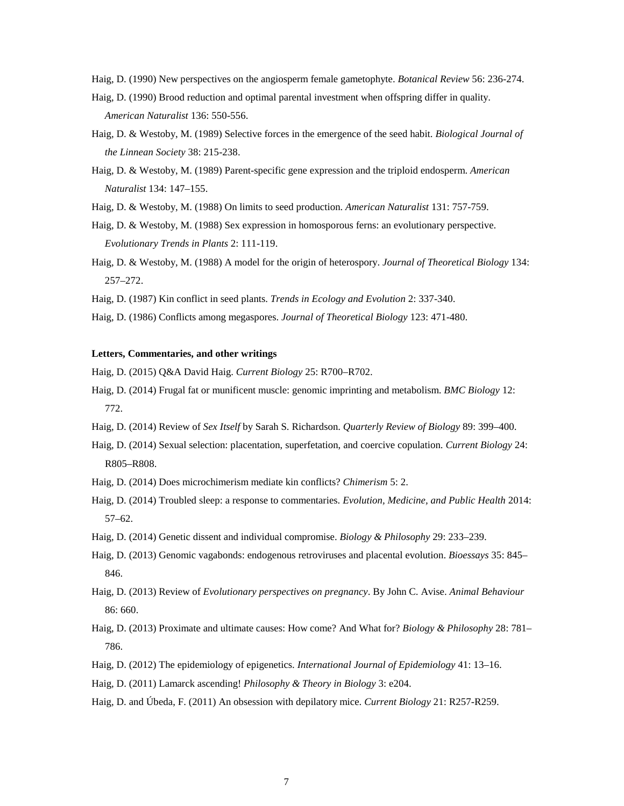Haig, D. (1990) New perspectives on the angiosperm female gametophyte. *Botanical Review* 56: 236-274.

- Haig, D. (1990) Brood reduction and optimal parental investment when offspring differ in quality. *American Naturalist* 136: 550-556.
- Haig, D. & Westoby, M. (1989) Selective forces in the emergence of the seed habit. *Biological Journal of the Linnean Society* 38: 215-238.
- Haig, D. & Westoby, M. (1989) Parent-specific gene expression and the triploid endosperm. *American Naturalist* 134: 147–155.
- Haig, D. & Westoby, M. (1988) On limits to seed production. *American Naturalist* 131: 757-759.
- Haig, D. & Westoby, M. (1988) Sex expression in homosporous ferns: an evolutionary perspective. *Evolutionary Trends in Plants* 2: 111-119.
- Haig, D. & Westoby, M. (1988) A model for the origin of heterospory. *Journal of Theoretical Biology* 134: 257–272.
- Haig, D. (1987) Kin conflict in seed plants. *Trends in Ecology and Evolution* 2: 337-340.
- Haig, D. (1986) Conflicts among megaspores. *Journal of Theoretical Biology* 123: 471-480.

#### **Letters, Commentaries, and other writings**

Haig, D. (2015) Q&A David Haig. *Current Biology* 25: R700–R702.

- Haig, D. (2014) Frugal fat or munificent muscle: genomic imprinting and metabolism. *BMC Biology* 12: 772.
- Haig, D. (2014) Review of *Sex Itself* by Sarah S. Richardson. *Quarterly Review of Biology* 89: 399–400.
- Haig, D. (2014) Sexual selection: placentation, superfetation, and coercive copulation. *Current Biology* 24: R805–R808.
- Haig, D. (2014) Does microchimerism mediate kin conflicts? *Chimerism* 5: 2.
- Haig, D. (2014) Troubled sleep: a response to commentaries. *Evolution, Medicine, and Public Health* 2014: 57–62.
- Haig, D. (2014) Genetic dissent and individual compromise. *Biology & Philosophy* 29: 233–239.
- Haig, D. (2013) Genomic vagabonds: endogenous retroviruses and placental evolution. *Bioessays* 35: 845– 846.
- Haig, D. (2013) Review of *Evolutionary perspectives on pregnancy*. By John C. Avise. *Animal Behaviour* 86: 660.
- Haig, D. (2013) Proximate and ultimate causes: How come? And What for? *Biology & Philosophy* 28: 781– 786.
- Haig, D. (2012) The epidemiology of epigenetics. *International Journal of Epidemiology* 41: 13–16.
- Haig, D. (2011) Lamarck ascending! *Philosophy & Theory in Biology* 3: e204.
- Haig, D. and Úbeda, F. (2011) An obsession with depilatory mice. *Current Biology* 21: R257-R259.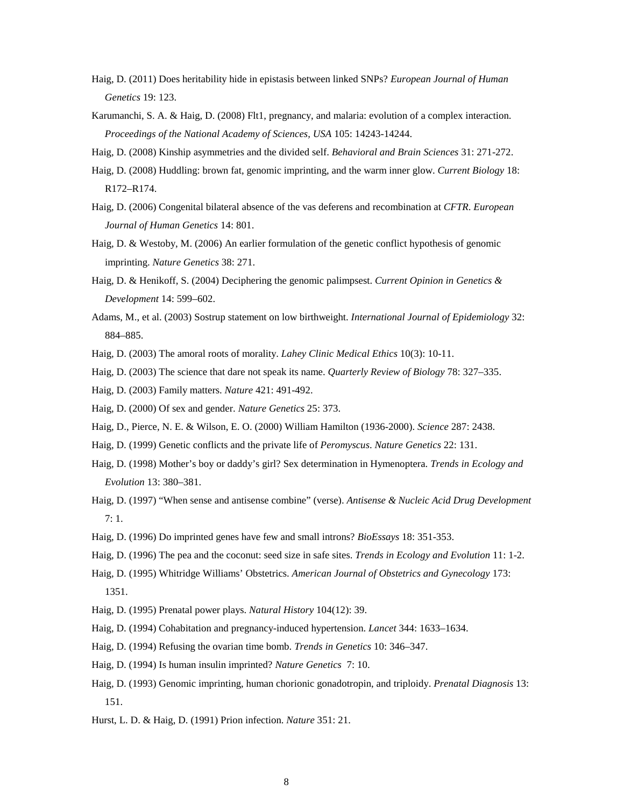- Haig, D. (2011) Does heritability hide in epistasis between linked SNPs? *European Journal of Human Genetics* 19: 123.
- Karumanchi, S. A. & Haig, D. (2008) Flt1, pregnancy, and malaria: evolution of a complex interaction. *Proceedings of the National Academy of Sciences, USA* 105: 14243-14244.
- Haig, D. (2008) Kinship asymmetries and the divided self. *Behavioral and Brain Sciences* 31: 271-272.
- Haig, D. (2008) Huddling: brown fat, genomic imprinting, and the warm inner glow. *Current Biology* 18: R172–R174.
- Haig, D. (2006) Congenital bilateral absence of the vas deferens and recombination at *CFTR*. *European Journal of Human Genetics* 14: 801.
- Haig, D. & Westoby, M. (2006) An earlier formulation of the genetic conflict hypothesis of genomic imprinting. *Nature Genetics* 38: 271.
- Haig, D. & Henikoff, S. (2004) Deciphering the genomic palimpsest. *Current Opinion in Genetics & Development* 14: 599–602.
- Adams, M., et al. (2003) Sostrup statement on low birthweight. *International Journal of Epidemiology* 32: 884–885.
- Haig, D. (2003) The amoral roots of morality. *Lahey Clinic Medical Ethics* 10(3): 10-11.
- Haig, D. (2003) The science that dare not speak its name. *Quarterly Review of Biology* 78: 327–335.
- Haig, D. (2003) Family matters. *Nature* 421: 491-492.
- Haig, D. (2000) Of sex and gender. *Nature Genetics* 25: 373.
- Haig, D., Pierce, N. E. & Wilson, E. O. (2000) William Hamilton (1936-2000). *Science* 287: 2438.
- Haig, D. (1999) Genetic conflicts and the private life of *Peromyscus*. *Nature Genetics* 22: 131.
- Haig, D. (1998) Mother's boy or daddy's girl? Sex determination in Hymenoptera. *Trends in Ecology and Evolution* 13: 380–381.
- Haig, D. (1997) "When sense and antisense combine" (verse). *Antisense & Nucleic Acid Drug Development* 7: 1.
- Haig, D. (1996) Do imprinted genes have few and small introns? *BioEssays* 18: 351-353.
- Haig, D. (1996) The pea and the coconut: seed size in safe sites. *Trends in Ecology and Evolution* 11: 1-2.
- Haig, D. (1995) Whitridge Williams' Obstetrics. *American Journal of Obstetrics and Gynecology* 173: 1351.
- Haig, D. (1995) Prenatal power plays. *Natural History* 104(12): 39.
- Haig, D. (1994) Cohabitation and pregnancy-induced hypertension. *Lancet* 344: 1633–1634.
- Haig, D. (1994) Refusing the ovarian time bomb. *Trends in Genetics* 10: 346–347.
- Haig, D. (1994) Is human insulin imprinted? *Nature Genetics* 7: 10.
- Haig, D. (1993) Genomic imprinting, human chorionic gonadotropin, and triploidy. *Prenatal Diagnosis* 13: 151.
- Hurst, L. D. & Haig, D. (1991) Prion infection. *Nature* 351: 21.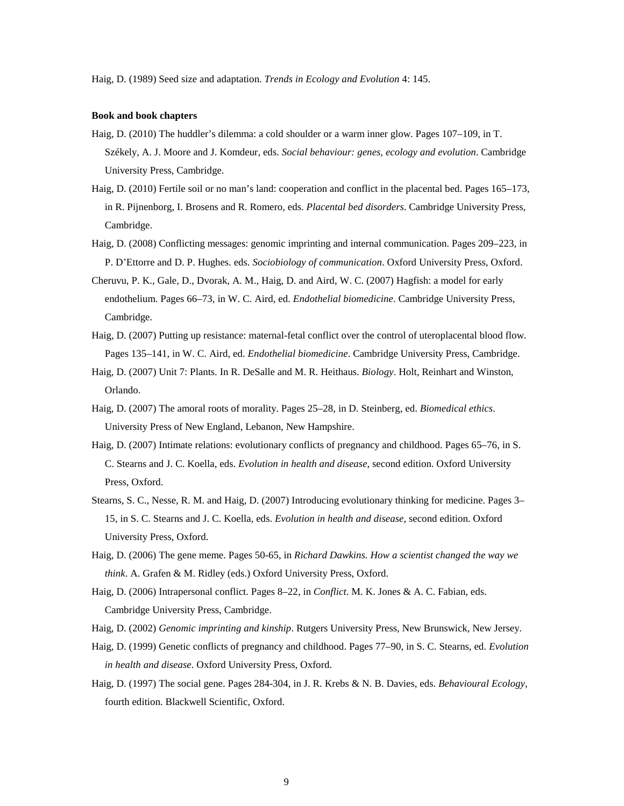Haig, D. (1989) Seed size and adaptation. *Trends in Ecology and Evolution* 4: 145.

#### **Book and book chapters**

- Haig, D. (2010) The huddler's dilemma: a cold shoulder or a warm inner glow. Pages 107–109, in T. Székely, A. J. Moore and J. Komdeur, eds. *Social behaviour: genes, ecology and evolution*. Cambridge University Press, Cambridge.
- Haig, D. (2010) Fertile soil or no man's land: cooperation and conflict in the placental bed. Pages 165–173, in R. Pijnenborg, I. Brosens and R. Romero, eds. *Placental bed disorders*. Cambridge University Press, Cambridge.
- Haig, D. (2008) Conflicting messages: genomic imprinting and internal communication. Pages 209–223, in P. D'Ettorre and D. P. Hughes. eds. *Sociobiology of communication*. Oxford University Press, Oxford.
- Cheruvu, P. K., Gale, D., Dvorak, A. M., Haig, D. and Aird, W. C. (2007) Hagfish: a model for early endothelium. Pages 66–73, in W. C. Aird, ed. *Endothelial biomedicine*. Cambridge University Press, Cambridge.
- Haig, D. (2007) Putting up resistance: maternal-fetal conflict over the control of uteroplacental blood flow. Pages 135–141, in W. C. Aird, ed. *Endothelial biomedicine*. Cambridge University Press, Cambridge.
- Haig, D. (2007) Unit 7: Plants. In R. DeSalle and M. R. Heithaus. *Biology*. Holt, Reinhart and Winston, Orlando.
- Haig, D. (2007) The amoral roots of morality. Pages 25–28, in D. Steinberg, ed. *Biomedical ethics*. University Press of New England, Lebanon, New Hampshire.
- Haig, D. (2007) Intimate relations: evolutionary conflicts of pregnancy and childhood. Pages 65–76, in S. C. Stearns and J. C. Koella, eds. *Evolution in health and disease*, second edition. Oxford University Press, Oxford.
- Stearns, S. C., Nesse, R. M. and Haig, D. (2007) Introducing evolutionary thinking for medicine. Pages 3– 15, in S. C. Stearns and J. C. Koella, eds. *Evolution in health and disease*, second edition. Oxford University Press, Oxford.
- Haig, D. (2006) The gene meme. Pages 50-65, in *Richard Dawkins. How a scientist changed the way we think*. A. Grafen & M. Ridley (eds.) Oxford University Press, Oxford.
- Haig, D. (2006) Intrapersonal conflict. Pages 8–22, in *Conflict*. M. K. Jones & A. C. Fabian, eds. Cambridge University Press, Cambridge.
- Haig, D. (2002) *Genomic imprinting and kinship*. Rutgers University Press, New Brunswick, New Jersey.
- Haig, D. (1999) Genetic conflicts of pregnancy and childhood. Pages 77–90, in S. C. Stearns, ed. *Evolution in health and disease*. Oxford University Press, Oxford.
- Haig, D. (1997) The social gene. Pages 284-304, in J. R. Krebs & N. B. Davies, eds. *Behavioural Ecology*, fourth edition. Blackwell Scientific, Oxford.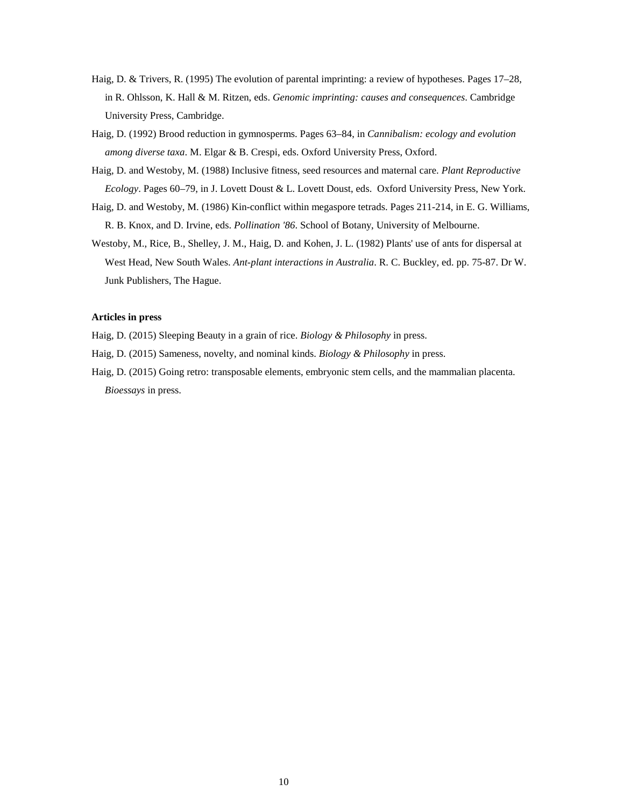- Haig, D. & Trivers, R. (1995) The evolution of parental imprinting: a review of hypotheses. Pages 17–28, in R. Ohlsson, K. Hall & M. Ritzen, eds. *Genomic imprinting: causes and consequences*. Cambridge University Press, Cambridge.
- Haig, D. (1992) Brood reduction in gymnosperms. Pages 63–84, in *Cannibalism: ecology and evolution among diverse taxa*. M. Elgar & B. Crespi, eds. Oxford University Press, Oxford.
- Haig, D. and Westoby, M. (1988) Inclusive fitness, seed resources and maternal care. *Plant Reproductive Ecology*. Pages 60–79, in J. Lovett Doust & L. Lovett Doust, eds. Oxford University Press, New York.
- Haig, D. and Westoby, M. (1986) Kin-conflict within megaspore tetrads. Pages 211-214, in E. G. Williams, R. B. Knox, and D. Irvine, eds. *Pollination '86*. School of Botany, University of Melbourne.
- Westoby, M., Rice, B., Shelley, J. M., Haig, D. and Kohen, J. L. (1982) Plants' use of ants for dispersal at West Head, New South Wales. *Ant-plant interactions in Australia*. R. C. Buckley, ed. pp. 75-87. Dr W. Junk Publishers, The Hague.

#### **Articles in press**

Haig, D. (2015) Sleeping Beauty in a grain of rice. *Biology & Philosophy* in press.

- Haig, D. (2015) Sameness, novelty, and nominal kinds. *Biology & Philosophy* in press.
- Haig, D. (2015) Going retro: transposable elements, embryonic stem cells, and the mammalian placenta. *Bioessays* in press.